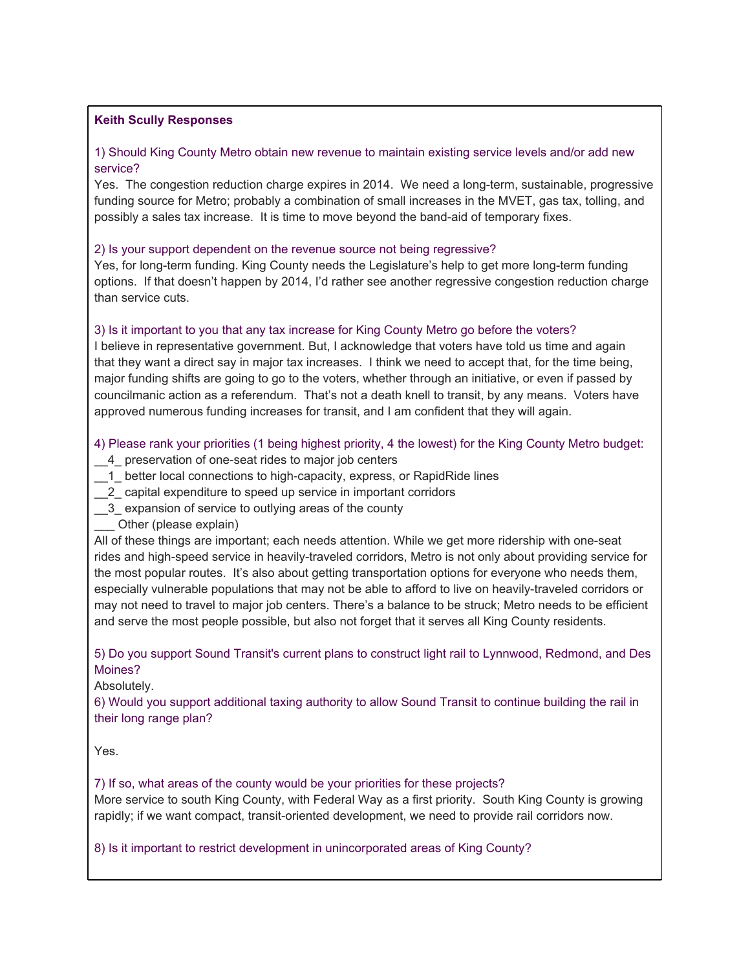### **Keith Scully Responses**

## 1) Should King County Metro obtain new revenue to maintain existing service levels and/or add new service?

Yes. The congestion reduction charge expires in 2014. We need a long-term, sustainable, progressive funding source for Metro; probably a combination of small increases in the MVET, gas tax, tolling, and possibly a sales tax increase. It is time to move beyond the band-aid of temporary fixes.

#### 2) Is your support dependent on the revenue source not being regressive?

Yes, for long-term funding. King County needs the Legislature's help to get more long-term funding options. If that doesn't happen by 2014, I'd rather see another regressive congestion reduction charge than service cuts.

### 3) Is it important to you that any tax increase for King County Metro go before the voters?

I believe in representative government. But, I acknowledge that voters have told us time and again that they want a direct say in major tax increases. I think we need to accept that, for the time being, major funding shifts are going to go to the voters, whether through an initiative, or even if passed by councilmanic action as a referendum. That's not a death knell to transit, by any means. Voters have approved numerous funding increases for transit, and I am confident that they will again.

4) Please rank your priorities (1 being highest priority, 4 the lowest) for the King County Metro budget:

- 4 preservation of one-seat rides to major job centers
- 1 better local connections to high-capacity, express, or RapidRide lines
- \_\_2\_ capital expenditure to speed up service in important corridors
- \_\_3\_ expansion of service to outlying areas of the county
- \_\_\_ Other (please explain)

All of these things are important; each needs attention. While we get more ridership with one-seat rides and high-speed service in heavily-traveled corridors, Metro is not only about providing service for the most popular routes. It's also about getting transportation options for everyone who needs them, especially vulnerable populations that may not be able to afford to live on heavily-traveled corridors or may not need to travel to major job centers. There's a balance to be struck; Metro needs to be efficient and serve the most people possible, but also not forget that it serves all King County residents.

# 5) Do you support Sound Transit's current plans to construct light rail to Lynnwood, Redmond, and Des Moines?

Absolutely.

6) Would you support additional taxing authority to allow Sound Transit to continue building the rail in their long range plan?

Yes.

### 7) If so, what areas of the county would be your priorities for these projects?

More service to south King County, with Federal Way as a first priority. South King County is growing rapidly; if we want compact, transit-oriented development, we need to provide rail corridors now.

#### 8) Is it important to restrict development in unincorporated areas of King County?